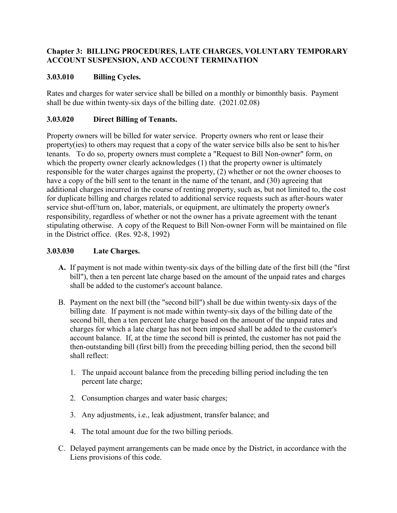### **Chapter 3: BILLING PROCEDURES, LATE CHARGES, VOLUNTARY TEMPORARY ACCOUNT SUSPENSION, AND ACCOUNT TERMINATION**

## **3.03.010 Billing Cycles.**

Rates and charges for water service shall be billed on a monthly or bimonthly basis. Payment shall be due within twenty-six days of the billing date. (2021.02.08)

# **3.03.020 Direct Billing of Tenants.**

Property owners will be billed for water service. Property owners who rent or lease their property(ies) to others may request that a copy of the water service bills also be sent to his/her tenants. To do so, property owners must complete a "Request to Bill Non-owner" form, on which the property owner clearly acknowledges (1) that the property owner is ultimately responsible for the water charges against the property, (2) whether or not the owner chooses to have a copy of the bill sent to the tenant in the name of the tenant, and (30) agreeing that additional charges incurred in the course of renting property, such as, but not limited to, the cost for duplicate billing and charges related to additional service requests such as after-hours water service shut-off/turn on, labor, materials, or equipment, are ultimately the property owner's responsibility, regardless of whether or not the owner has a private agreement with the tenant stipulating otherwise. A copy of the Request to Bill Non-owner Form will be maintained on file in the District office. (Res. 92-8, 1992)

#### **3.03.030 Late Charges.**

- **A.** If payment is not made within twenty-six days of the billing date of the first bill (the "first bill"), then a ten percent late charge based on the amount of the unpaid rates and charges shall be added to the customer's account balance.
- B. Payment on the next bill (the "second bill") shall be due within twenty-six days of the billing date. If payment is not made within twenty-six days of the billing date of the second bill, then a ten percent late charge based on the amount of the unpaid rates and charges for which a late charge has not been imposed shall be added to the customer's account balance. If, at the time the second bill is printed, the customer has not paid the then-outstanding bill (first bill) from the preceding billing period, then the second bill shall reflect:
	- 1. The unpaid account balance from the preceding billing period including the ten percent late charge;
	- 2. Consumption charges and water basic charges;
	- 3. Any adjustments, i.e., leak adjustment, transfer balance; and
	- 4. The total amount due for the two billing periods.
- C. Delayed payment arrangements can be made once by the District, in accordance with the Liens provisions of this code.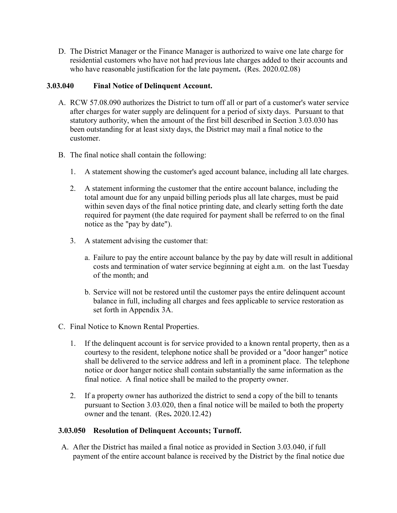D. The District Manager or the Finance Manager is authorized to waive one late charge for residential customers who have not had previous late charges added to their accounts and who have reasonable justification for the late payment**.** (Res. 2020.02.08)

#### **3.03.040 Final Notice of Delinquent Account.**

- A. RCW 57.08.090 authorizes the District to turn off all or part of a customer's water service after charges for water supply are delinquent for a period of sixty days. Pursuant to that statutory authority, when the amount of the first bill described in Section 3.03.030 has been outstanding for at least sixty days, the District may mail a final notice to the customer.
- B. The final notice shall contain the following:
	- 1. A statement showing the customer's aged account balance, including all late charges.
	- 2. A statement informing the customer that the entire account balance, including the total amount due for any unpaid billing periods plus all late charges, must be paid within seven days of the final notice printing date, and clearly setting forth the date required for payment (the date required for payment shall be referred to on the final notice as the "pay by date").
	- 3. A statement advising the customer that:
		- a. Failure to pay the entire account balance by the pay by date will result in additional costs and termination of water service beginning at eight a.m. on the last Tuesday of the month; and
		- b. Service will not be restored until the customer pays the entire delinquent account balance in full, including all charges and fees applicable to service restoration as set forth in Appendix 3A.
- C. Final Notice to Known Rental Properties.
	- 1. If the delinquent account is for service provided to a known rental property, then as a courtesy to the resident, telephone notice shall be provided or a "door hanger" notice shall be delivered to the service address and left in a prominent place. The telephone notice or door hanger notice shall contain substantially the same information as the final notice. A final notice shall be mailed to the property owner.
	- 2. If a property owner has authorized the district to send a copy of the bill to tenants pursuant to Section 3.03.020, then a final notice will be mailed to both the property owner and the tenant. (Res**.** 2020.12.42)

#### **3.03.050 Resolution of Delinquent Accounts; Turnoff.**

A. After the District has mailed a final notice as provided in Section 3.03.040, if full payment of the entire account balance is received by the District by the final notice due